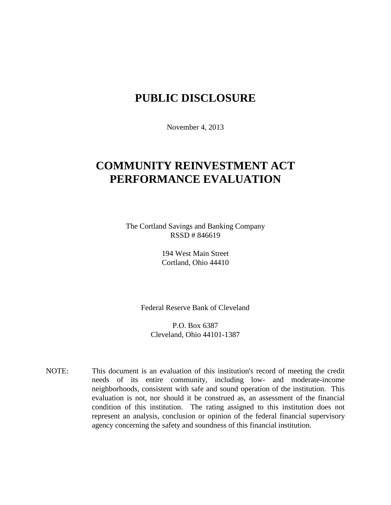## **PUBLIC DISCLOSURE**

November 4, 2013

# **COMMUNITY REINVESTMENT ACT PERFORMANCE EVALUATION**

The Cortland Savings and Banking Company RSSD # 846619

> 194 West Main Street Cortland, Ohio 44410

Federal Reserve Bank of Cleveland

P.O. Box 6387 Cleveland, Ohio 44101-1387

NOTE: This document is an evaluation of this institution's record of meeting the credit needs of its entire community, including low- and moderate-income neighborhoods, consistent with safe and sound operation of the institution.This evaluation is not, nor should it be construed as, an assessment of the financial condition of this institution. The rating assigned to this institution does not represent an analysis, conclusion or opinion of the federal financial supervisory agency concerning the safety and soundness of this financial institution.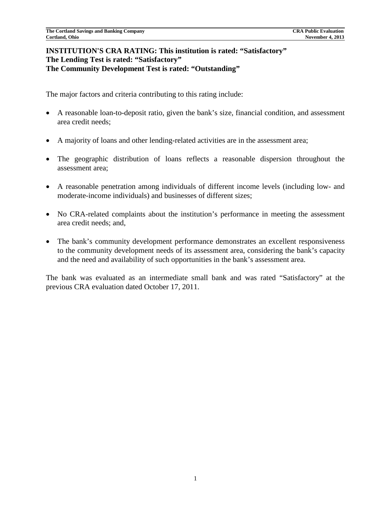### **INSTITUTION'S CRA RATING: This institution is rated: "Satisfactory" The Lending Test is rated: "Satisfactory" The Community Development Test is rated: "Outstanding"**

The major factors and criteria contributing to this rating include:

- A reasonable loan-to-deposit ratio, given the bank's size, financial condition, and assessment area credit needs;
- A majority of loans and other lending-related activities are in the assessment area;
- The geographic distribution of loans reflects a reasonable dispersion throughout the assessment area;
- A reasonable penetration among individuals of different income levels (including low- and moderate-income individuals) and businesses of different sizes;
- No CRA-related complaints about the institution's performance in meeting the assessment area credit needs; and,
- The bank's community development performance demonstrates an excellent responsiveness to the community development needs of its assessment area, considering the bank's capacity and the need and availability of such opportunities in the bank's assessment area.

The bank was evaluated as an intermediate small bank and was rated "Satisfactory" at the previous CRA evaluation dated October 17, 2011.